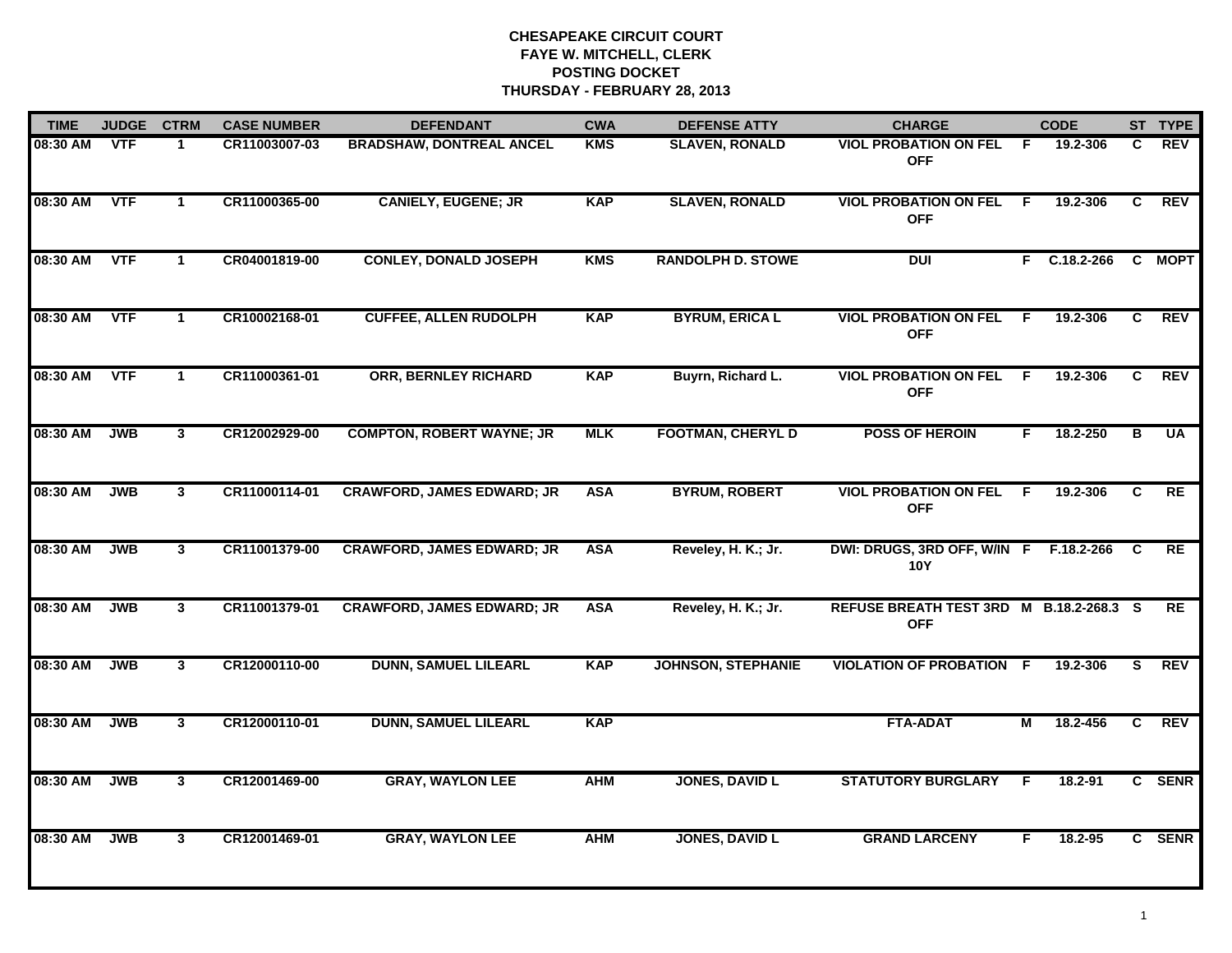| <b>TIME</b> | <b>JUDGE</b> | <b>CTRM</b>    | <b>CASE NUMBER</b> | <b>DEFENDANT</b>                  | <b>CWA</b> | <b>DEFENSE ATTY</b>       | <b>CHARGE</b>                                          |    | <b>CODE</b>  |              | ST TYPE    |
|-------------|--------------|----------------|--------------------|-----------------------------------|------------|---------------------------|--------------------------------------------------------|----|--------------|--------------|------------|
| 08:30 AM    | <b>VTF</b>   | -1             | CR11003007-03      | <b>BRADSHAW, DONTREAL ANCEL</b>   | <b>KMS</b> | <b>SLAVEN, RONALD</b>     | <b>VIOL PROBATION ON FEL</b><br><b>OFF</b>             | F. | 19.2-306     | C.           | <b>REV</b> |
| 08:30 AM    | <b>VTF</b>   | $\mathbf{1}$   | CR11000365-00      | <b>CANIELY, EUGENE; JR</b>        | <b>KAP</b> | <b>SLAVEN, RONALD</b>     | <b>VIOL PROBATION ON FEL</b><br><b>OFF</b>             | F. | 19.2-306     | C.           | <b>REV</b> |
| 08:30 AM    | <b>VTF</b>   | $\mathbf 1$    | CR04001819-00      | <b>CONLEY, DONALD JOSEPH</b>      | <b>KMS</b> | <b>RANDOLPH D. STOWE</b>  | <b>DUI</b>                                             |    | F C.18.2-266 |              | C MOPT     |
| 08:30 AM    | <b>VTF</b>   | -1             | CR10002168-01      | <b>CUFFEE, ALLEN RUDOLPH</b>      | <b>KAP</b> | <b>BYRUM, ERICA L</b>     | <b>VIOL PROBATION ON FEL</b><br><b>OFF</b>             | F. | 19.2-306     | C.           | <b>REV</b> |
| 08:30 AM    | <b>VTF</b>   | $\mathbf{1}$   | CR11000361-01      | <b>ORR, BERNLEY RICHARD</b>       | <b>KAP</b> | Buyrn, Richard L.         | <b>VIOL PROBATION ON FEL</b><br><b>OFF</b>             | F. | 19.2-306     | $\mathbf{c}$ | <b>REV</b> |
| 08:30 AM    | <b>JWB</b>   | $\mathbf{3}$   | CR12002929-00      | <b>COMPTON, ROBERT WAYNE; JR</b>  | <b>MLK</b> | <b>FOOTMAN, CHERYL D</b>  | <b>POSS OF HEROIN</b>                                  | F. | 18.2-250     | в            | <b>UA</b>  |
| 08:30 AM    | <b>JWB</b>   | $\mathbf{3}$   | CR11000114-01      | <b>CRAWFORD, JAMES EDWARD; JR</b> | <b>ASA</b> | <b>BYRUM, ROBERT</b>      | <b>VIOL PROBATION ON FEL</b><br><b>OFF</b>             | F  | 19.2-306     | $\mathbf{C}$ | RE         |
| 08:30 AM    | <b>JWB</b>   | $\mathbf{3}$   | CR11001379-00      | <b>CRAWFORD, JAMES EDWARD; JR</b> | <b>ASA</b> | Reveley, H. K.; Jr.       | DWI: DRUGS, 3RD OFF, W/IN F F.18.2-266 C<br><b>10Y</b> |    |              |              | RE         |
| 08:30 AM    | <b>JWB</b>   | 3              | CR11001379-01      | <b>CRAWFORD, JAMES EDWARD; JR</b> | <b>ASA</b> | Reveley, H. K.; Jr.       | REFUSE BREATH TEST 3RD M B.18.2-268.3 S<br><b>OFF</b>  |    |              |              | <b>RE</b>  |
| 08:30 AM    | <b>JWB</b>   | $\mathbf{3}$   | CR12000110-00      | <b>DUNN, SAMUEL LILEARL</b>       | <b>KAP</b> | <b>JOHNSON, STEPHANIE</b> | <b>VIOLATION OF PROBATION F</b>                        |    | 19.2-306     | S.           | <b>REV</b> |
| 08:30 AM    | <b>JWB</b>   | $\mathbf{3}$   | CR12000110-01      | <b>DUNN, SAMUEL LILEARL</b>       | <b>KAP</b> |                           | <b>FTA-ADAT</b>                                        | М  | 18.2-456     | C            | <b>REV</b> |
| 08:30 AM    | <b>JWB</b>   | $\mathbf{3}$   | CR12001469-00      | <b>GRAY, WAYLON LEE</b>           | <b>AHM</b> | <b>JONES, DAVID L</b>     | <b>STATUTORY BURGLARY</b>                              | F. | $18.2 - 91$  |              | C SENR     |
| 08:30 AM    | <b>JWB</b>   | 3 <sup>1</sup> | CR12001469-01      | <b>GRAY, WAYLON LEE</b>           | <b>AHM</b> | <b>JONES, DAVID L</b>     | <b>GRAND LARCENY</b>                                   | F. | 18.2-95      |              | C SENR     |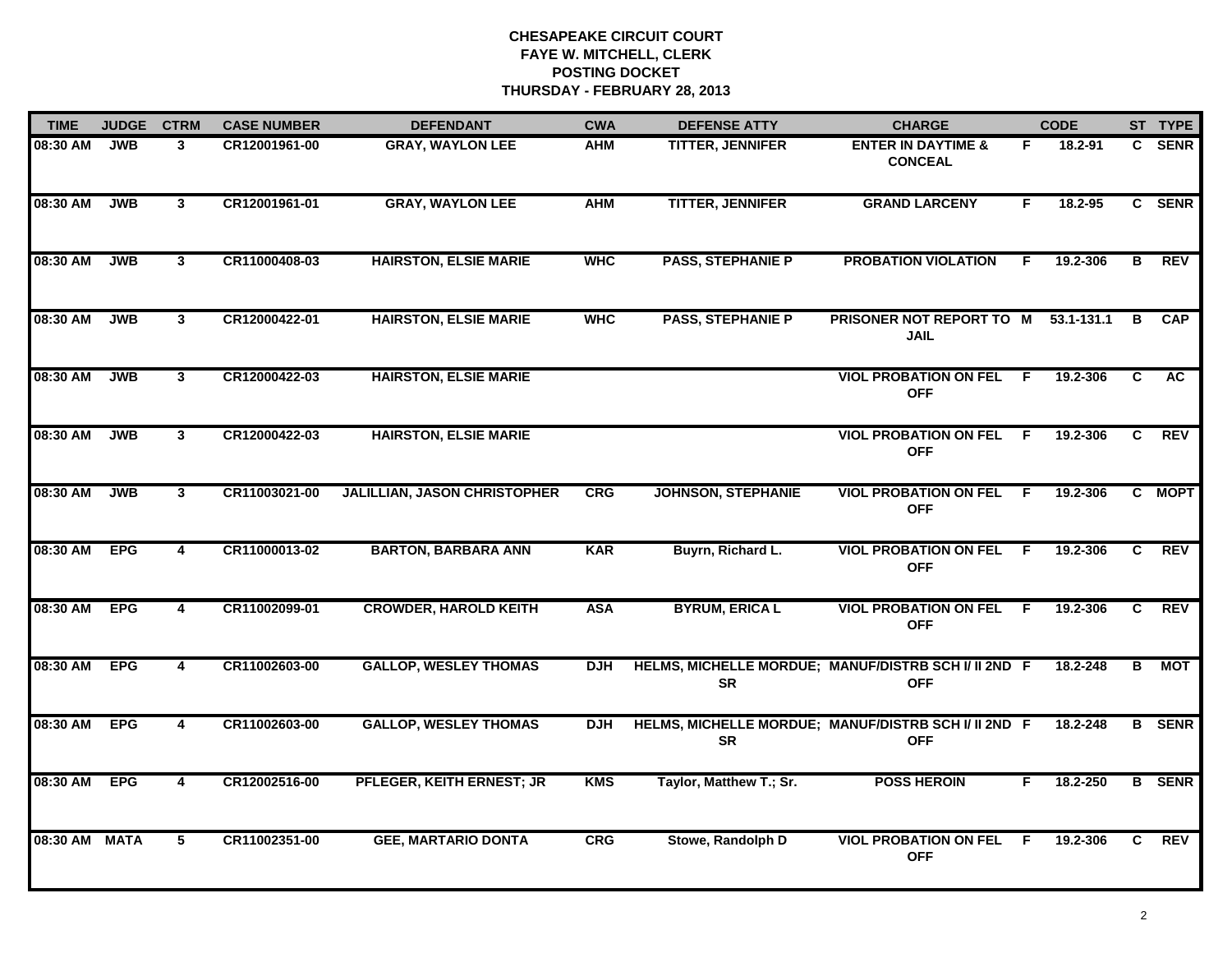| <b>TIME</b> | <b>JUDGE</b> | <b>CTRM</b>    | <b>CASE NUMBER</b> | <b>DEFENDANT</b>                    | <b>CWA</b> | <b>DEFENSE ATTY</b>       | <b>CHARGE</b>                                                      |    | <b>CODE</b> |    | ST TYPE       |
|-------------|--------------|----------------|--------------------|-------------------------------------|------------|---------------------------|--------------------------------------------------------------------|----|-------------|----|---------------|
| 08:30 AM    | <b>JWB</b>   | 3              | CR12001961-00      | <b>GRAY, WAYLON LEE</b>             | AHM        | <b>TITTER, JENNIFER</b>   | <b>ENTER IN DAYTIME &amp;</b><br><b>CONCEAL</b>                    | F. | 18.2-91     |    | C SENR        |
| 08:30 AM    | <b>JWB</b>   | $\mathbf{3}$   | CR12001961-01      | <b>GRAY, WAYLON LEE</b>             | <b>AHM</b> | <b>TITTER, JENNIFER</b>   | <b>GRAND LARCENY</b>                                               | F. | 18.2-95     |    | C SENR        |
| 08:30 AM    | <b>JWB</b>   | $\mathbf{3}$   | CR11000408-03      | <b>HAIRSTON, ELSIE MARIE</b>        | <b>WHC</b> | <b>PASS, STEPHANIE P</b>  | <b>PROBATION VIOLATION</b>                                         | F. | 19.2-306    | B  | <b>REV</b>    |
| 08:30 AM    | <b>JWB</b>   | $\mathbf{3}$   | CR12000422-01      | <b>HAIRSTON, ELSIE MARIE</b>        | <b>WHC</b> | <b>PASS, STEPHANIE P</b>  | PRISONER NOT REPORT TO M<br><b>JAIL</b>                            |    | 53.1-131.1  | В  | <b>CAP</b>    |
| 08:30 AM    | <b>JWB</b>   | $\mathbf{3}$   | CR12000422-03      | <b>HAIRSTON, ELSIE MARIE</b>        |            |                           | <b>VIOL PROBATION ON FEL</b><br><b>OFF</b>                         | F. | 19.2-306    | C. | AC            |
| 08:30 AM    | <b>JWB</b>   | $\mathbf{3}$   | CR12000422-03      | <b>HAIRSTON, ELSIE MARIE</b>        |            |                           | <b>VIOL PROBATION ON FEL F</b><br><b>OFF</b>                       |    | 19.2-306    | C. | <b>REV</b>    |
| 08:30 AM    | <b>JWB</b>   | $\mathbf{3}$   | CR11003021-00      | <b>JALILLIAN, JASON CHRISTOPHER</b> | <b>CRG</b> | <b>JOHNSON, STEPHANIE</b> | <b>VIOL PROBATION ON FEL</b><br><b>OFF</b>                         | F. | 19.2-306    |    | C MOPT        |
| 08:30 AM    | <b>EPG</b>   | 4              | CR11000013-02      | <b>BARTON, BARBARA ANN</b>          | <b>KAR</b> | Buyrn, Richard L.         | <b>VIOL PROBATION ON FEL</b><br><b>OFF</b>                         | E  | 19.2-306    | C. | <b>REV</b>    |
| 08:30 AM    | <b>EPG</b>   | 4              | CR11002099-01      | <b>CROWDER, HAROLD KEITH</b>        | <b>ASA</b> | <b>BYRUM, ERICA L</b>     | <b>VIOL PROBATION ON FEL</b><br><b>OFF</b>                         | F. | 19.2-306    | C. | <b>REV</b>    |
| 08:30 AM    | <b>EPG</b>   | 4              | CR11002603-00      | <b>GALLOP, WESLEY THOMAS</b>        | <b>DJH</b> | <b>SR</b>                 | HELMS, MICHELLE MORDUE; MANUF/DISTRB SCH I/ II 2ND F<br><b>OFF</b> |    | 18.2-248    | B  | <b>MOT</b>    |
| 08:30 AM    | <b>EPG</b>   | 4              | CR11002603-00      | <b>GALLOP, WESLEY THOMAS</b>        | <b>DJH</b> | <b>SR</b>                 | HELMS, MICHELLE MORDUE; MANUF/DISTRB SCH I/ II 2ND F<br><b>OFF</b> |    | 18.2-248    |    | <b>B</b> SENR |
| 08:30 AM    | <b>EPG</b>   | $\overline{4}$ | CR12002516-00      | <b>PFLEGER, KEITH ERNEST; JR</b>    | <b>KMS</b> | Taylor, Matthew T.; Sr.   | <b>POSS HEROIN</b>                                                 | F. | 18.2-250    |    | <b>B</b> SENR |
| 08:30 AM    | <b>MATA</b>  | 5              | CR11002351-00      | <b>GEE, MARTARIO DONTA</b>          | <b>CRG</b> | Stowe, Randolph D         | <b>VIOL PROBATION ON FEL</b><br><b>OFF</b>                         | F  | 19.2-306    | C. | <b>REV</b>    |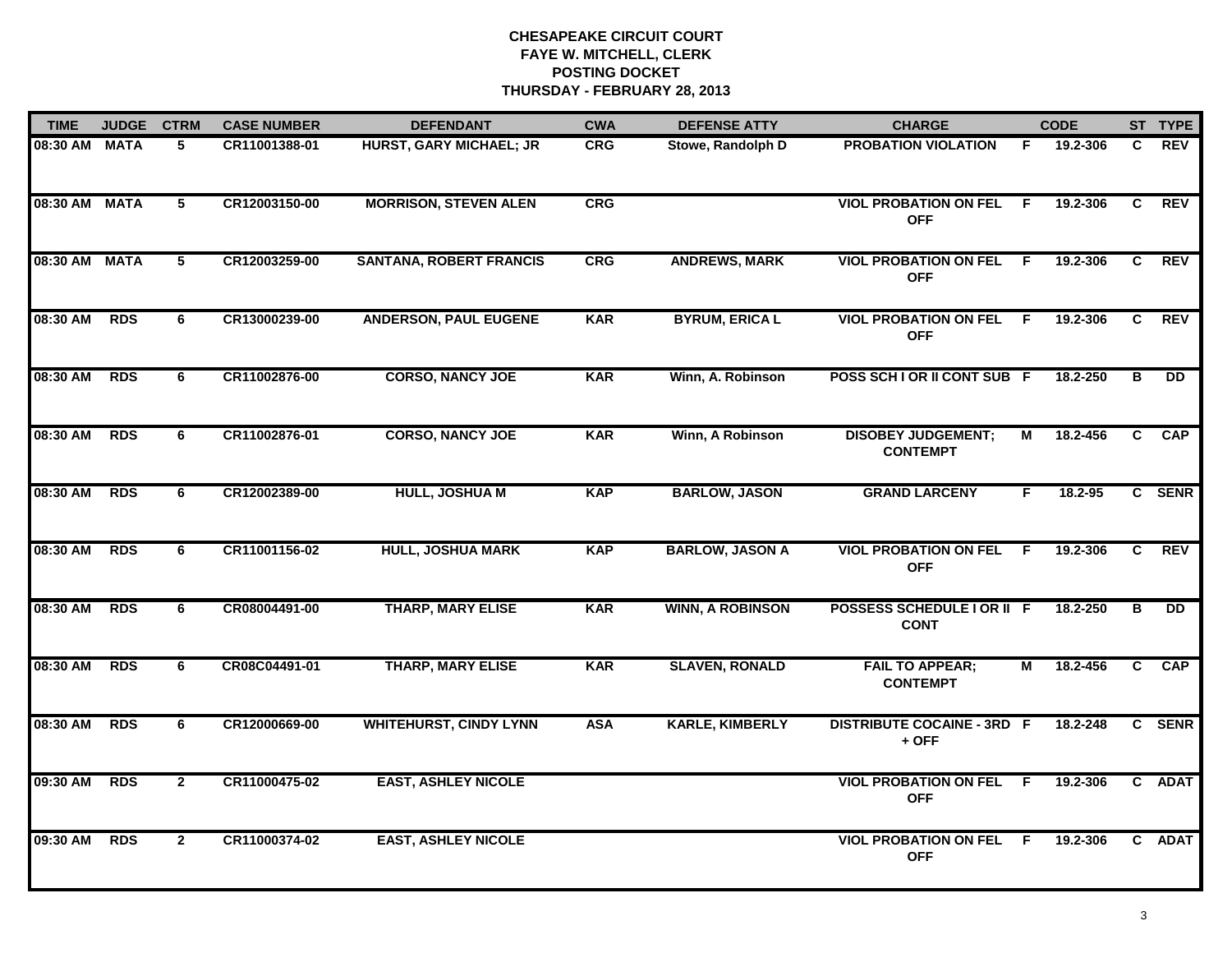| <b>TIME</b> | <b>JUDGE</b> | <b>CTRM</b>    | <b>CASE NUMBER</b> | <b>DEFENDANT</b>               | <b>CWA</b> | <b>DEFENSE ATTY</b>     | <b>CHARGE</b>                                |    | <b>CODE</b> |    | ST TYPE         |
|-------------|--------------|----------------|--------------------|--------------------------------|------------|-------------------------|----------------------------------------------|----|-------------|----|-----------------|
| 08:30 AM    | <b>MATA</b>  | 5              | CR11001388-01      | <b>HURST, GARY MICHAEL; JR</b> | <b>CRG</b> | Stowe, Randolph D       | <b>PROBATION VIOLATION</b>                   | F. | 19.2-306    | C. | <b>REV</b>      |
| 08:30 AM    | <b>MATA</b>  | 5              | CR12003150-00      | <b>MORRISON, STEVEN ALEN</b>   | <b>CRG</b> |                         | <b>VIOL PROBATION ON FEL</b><br><b>OFF</b>   | F. | 19.2-306    | C  | <b>REV</b>      |
| 08:30 AM    | <b>MATA</b>  | 5              | CR12003259-00      | <b>SANTANA, ROBERT FRANCIS</b> | CRG        | <b>ANDREWS, MARK</b>    | <b>VIOL PROBATION ON FEL</b><br><b>OFF</b>   | F  | 19.2-306    | C  | <b>REV</b>      |
| 08:30 AM    | <b>RDS</b>   | 6              | CR13000239-00      | <b>ANDERSON, PAUL EUGENE</b>   | <b>KAR</b> | <b>BYRUM, ERICA L</b>   | <b>VIOL PROBATION ON FEL</b><br><b>OFF</b>   | E  | 19.2-306    | C  | <b>REV</b>      |
| 08:30 AM    | <b>RDS</b>   | 6              | CR11002876-00      | <b>CORSO, NANCY JOE</b>        | <b>KAR</b> | Winn, A. Robinson       | POSS SCH I OR II CONT SUB F                  |    | 18.2-250    | в  | $\overline{DD}$ |
| 08:30 AM    | <b>RDS</b>   | 6              | CR11002876-01      | <b>CORSO, NANCY JOE</b>        | <b>KAR</b> | Winn, A Robinson        | <b>DISOBEY JUDGEMENT;</b><br><b>CONTEMPT</b> | М  | 18.2-456    | C  | <b>CAP</b>      |
| 08:30 AM    | <b>RDS</b>   | 6              | CR12002389-00      | <b>HULL, JOSHUA M</b>          | <b>KAP</b> | <b>BARLOW, JASON</b>    | <b>GRAND LARCENY</b>                         | F. | 18.2-95     |    | C SENR          |
| 08:30 AM    | <b>RDS</b>   | 6              | CR11001156-02      | <b>HULL, JOSHUA MARK</b>       | <b>KAP</b> | <b>BARLOW, JASON A</b>  | <b>VIOL PROBATION ON FEL</b><br><b>OFF</b>   | F. | 19.2-306    | C. | <b>REV</b>      |
| 08:30 AM    | <b>RDS</b>   | 6              | CR08004491-00      | <b>THARP, MARY ELISE</b>       | <b>KAR</b> | <b>WINN, A ROBINSON</b> | POSSESS SCHEDULE I OR II F<br><b>CONT</b>    |    | 18.2-250    | в  | <b>DD</b>       |
| 08:30 AM    | <b>RDS</b>   | 6              | CR08C04491-01      | <b>THARP, MARY ELISE</b>       | <b>KAR</b> | <b>SLAVEN, RONALD</b>   | <b>FAIL TO APPEAR;</b><br><b>CONTEMPT</b>    | М  | 18.2-456    | C  | <b>CAP</b>      |
| 08:30 AM    | <b>RDS</b>   | 6              | CR12000669-00      | <b>WHITEHURST, CINDY LYNN</b>  | <b>ASA</b> | <b>KARLE, KIMBERLY</b>  | <b>DISTRIBUTE COCAINE - 3RD F</b><br>$+$ OFF |    | 18.2-248    |    | C SENR          |
| 09:30 AM    | <b>RDS</b>   | $\mathbf{2}$   | CR11000475-02      | <b>EAST, ASHLEY NICOLE</b>     |            |                         | <b>VIOL PROBATION ON FEL</b><br><b>OFF</b>   | F. | 19.2-306    |    | C ADAT          |
| 09:30 AM    | <b>RDS</b>   | $\overline{2}$ | CR11000374-02      | <b>EAST, ASHLEY NICOLE</b>     |            |                         | <b>VIOL PROBATION ON FEL</b><br><b>OFF</b>   | F  | 19.2-306    |    | C ADAT          |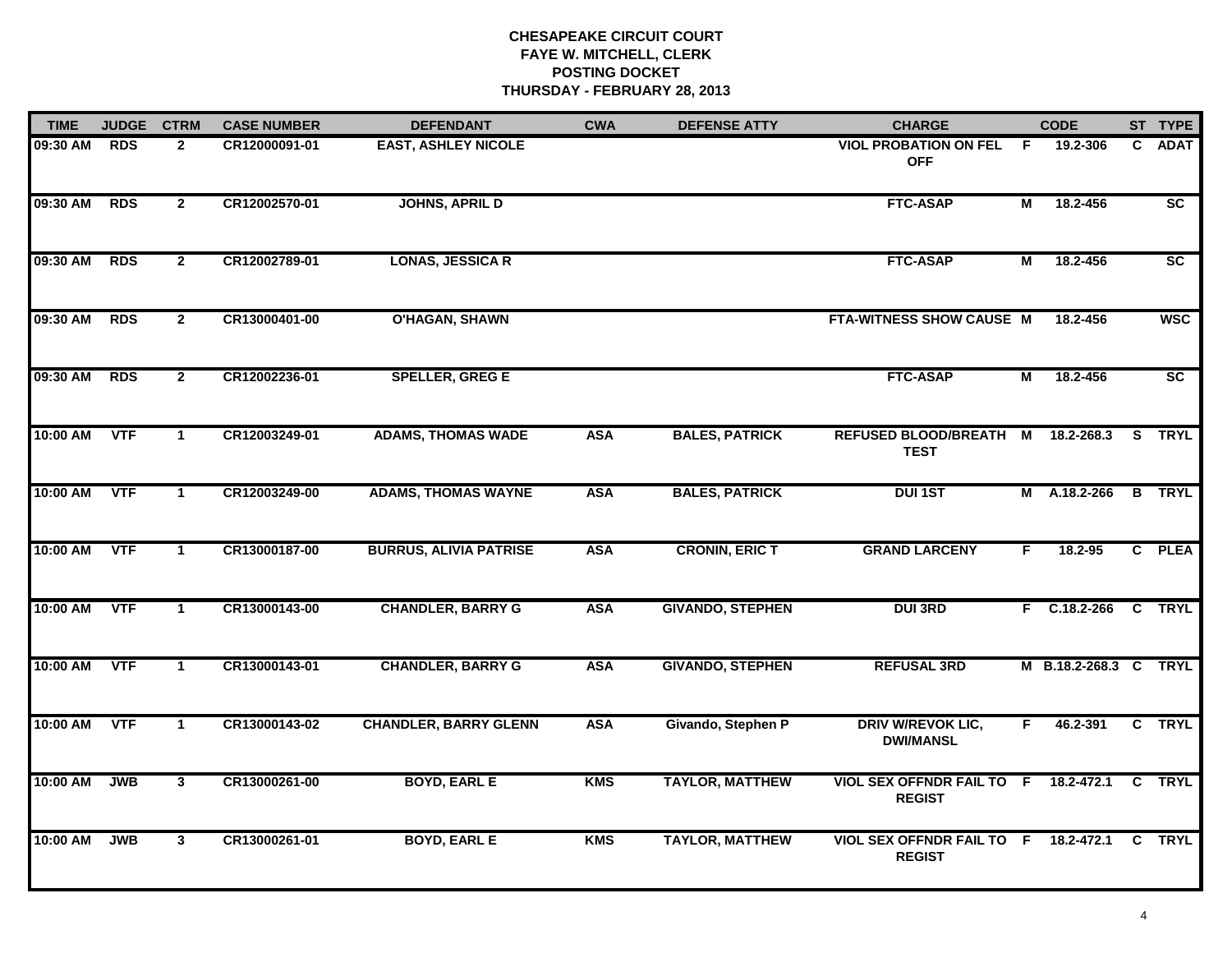| <b>TIME</b> | <b>JUDGE</b> | <b>CTRM</b>    | <b>CASE NUMBER</b> | <b>DEFENDANT</b>              | <b>CWA</b> | <b>DEFENSE ATTY</b>     | <b>CHARGE</b>                                         |    | <b>CODE</b>           | ST TYPE         |
|-------------|--------------|----------------|--------------------|-------------------------------|------------|-------------------------|-------------------------------------------------------|----|-----------------------|-----------------|
| 09:30 AM    | <b>RDS</b>   | $\overline{2}$ | CR12000091-01      | <b>EAST, ASHLEY NICOLE</b>    |            |                         | <b>VIOL PROBATION ON FEL</b><br><b>OFF</b>            | F. | 19.2-306              | C ADAT          |
| 09:30 AM    | <b>RDS</b>   | $\overline{2}$ | CR12002570-01      | <b>JOHNS, APRIL D</b>         |            |                         | <b>FTC-ASAP</b>                                       | M  | 18.2-456              | SC              |
| 09:30 AM    | <b>RDS</b>   | $\mathbf{2}$   | CR12002789-01      | <b>LONAS, JESSICA R</b>       |            |                         | <b>FTC-ASAP</b>                                       | Μ  | 18.2-456              | SC              |
| 09:30 AM    | <b>RDS</b>   | $\overline{2}$ | CR13000401-00      | <b>O'HAGAN, SHAWN</b>         |            |                         | FTA-WITNESS SHOW CAUSE M                              |    | 18.2-456              | <b>WSC</b>      |
| 09:30 AM    | <b>RDS</b>   | $\overline{2}$ | CR12002236-01      | <b>SPELLER, GREG E</b>        |            |                         | <b>FTC-ASAP</b>                                       | М  | 18.2-456              | $\overline{sc}$ |
| 10:00 AM    | <b>VTF</b>   | $\mathbf 1$    | CR12003249-01      | <b>ADAMS, THOMAS WADE</b>     | <b>ASA</b> | <b>BALES, PATRICK</b>   | REFUSED BLOOD/BREATH M 18.2-268.3<br><b>TEST</b>      |    |                       | S TRYL          |
| 10:00 AM    | <b>VTF</b>   | $\overline{1}$ | CR12003249-00      | <b>ADAMS, THOMAS WAYNE</b>    | <b>ASA</b> | <b>BALES, PATRICK</b>   | <b>DUI 1ST</b>                                        |    | M A.18.2-266          | <b>B</b> TRYL   |
| 10:00 AM    | <b>VTF</b>   | $\mathbf{1}$   | CR13000187-00      | <b>BURRUS, ALIVIA PATRISE</b> | <b>ASA</b> | <b>CRONIN, ERIC T</b>   | <b>GRAND LARCENY</b>                                  | F  | $18.2 - 95$           | C PLEA          |
| 10:00 AM    | <b>VTF</b>   | $\mathbf{1}$   | CR13000143-00      | <b>CHANDLER, BARRY G</b>      | <b>ASA</b> | <b>GIVANDO, STEPHEN</b> | <b>DUI 3RD</b>                                        |    | $F$ C.18.2-266        | C TRYL          |
| 10:00 AM    | <b>VTF</b>   | $\mathbf 1$    | CR13000143-01      | <b>CHANDLER, BARRY G</b>      | <b>ASA</b> | <b>GIVANDO, STEPHEN</b> | <b>REFUSAL 3RD</b>                                    |    | M B.18.2-268.3 C TRYL |                 |
| 10:00 AM    | <b>VTF</b>   | $\mathbf 1$    | CR13000143-02      | <b>CHANDLER, BARRY GLENN</b>  | <b>ASA</b> | Givando, Stephen P      | <b>DRIV W/REVOK LIC,</b><br><b>DWI/MANSL</b>          | F. | 46.2-391              | C TRYL          |
| 10:00 AM    | <b>JWB</b>   | $\mathbf{3}$   | CR13000261-00      | <b>BOYD, EARL E</b>           | <b>KMS</b> | <b>TAYLOR, MATTHEW</b>  | VIOL SEX OFFNDR FAIL TO F 18.2-472.1<br><b>REGIST</b> |    |                       | C TRYL          |
| 10:00 AM    | <b>JWB</b>   | $\mathbf{3}$   | CR13000261-01      | <b>BOYD, EARL E</b>           | KMS        | <b>TAYLOR, MATTHEW</b>  | VIOL SEX OFFNDR FAIL TO F 18.2-472.1<br><b>REGIST</b> |    |                       | C TRYL          |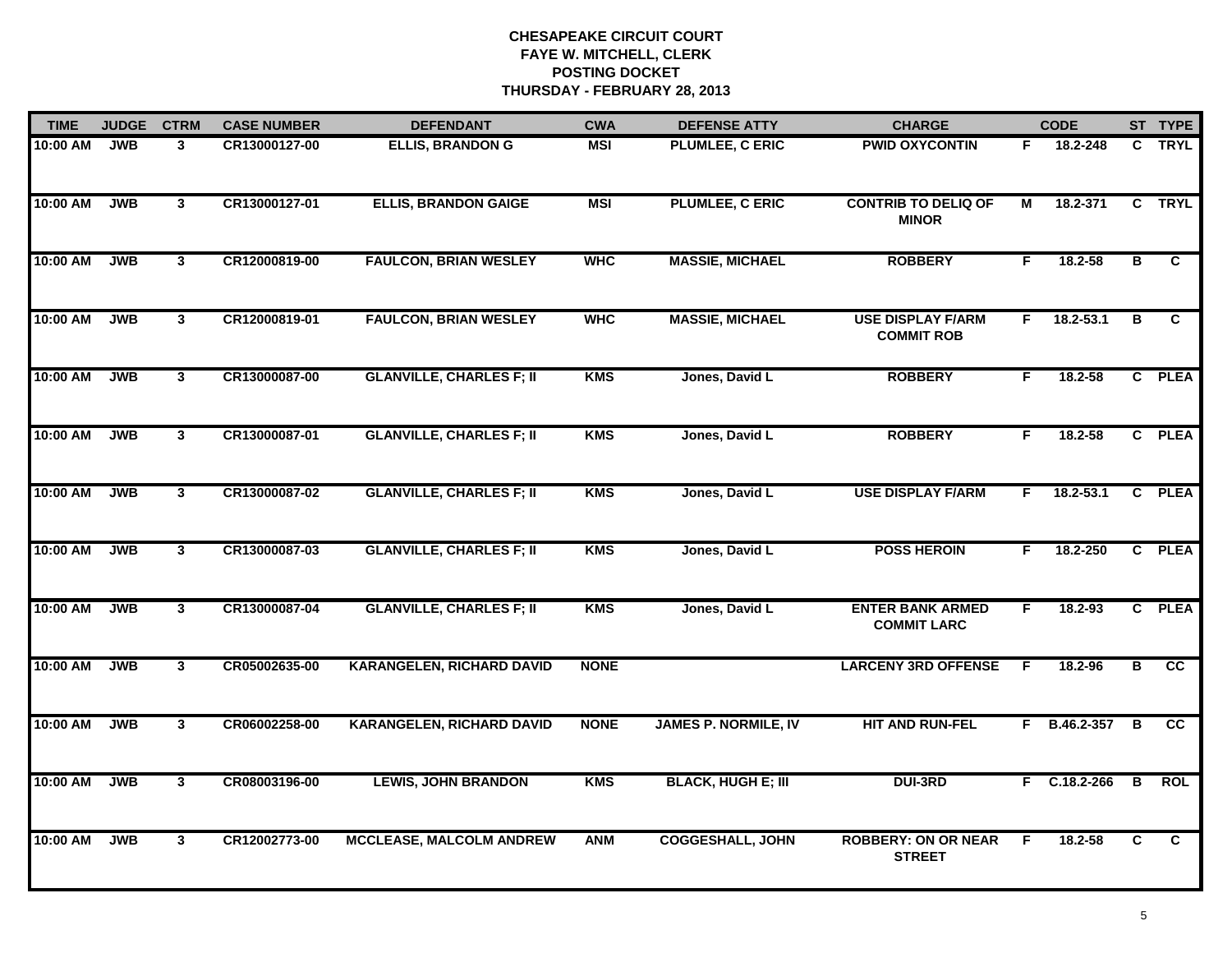| <b>TIME</b> | <b>JUDGE</b> | <b>CTRM</b>    | <b>CASE NUMBER</b> | <b>DEFENDANT</b>                 | <b>CWA</b>  | <b>DEFENSE ATTY</b>         | <b>CHARGE</b>                                 |    | <b>CODE</b>   |              | ST TYPE     |
|-------------|--------------|----------------|--------------------|----------------------------------|-------------|-----------------------------|-----------------------------------------------|----|---------------|--------------|-------------|
| 10:00 AM    | <b>JWB</b>   | 3              | CR13000127-00      | <b>ELLIS, BRANDON G</b>          | <b>MSI</b>  | <b>PLUMLEE, C ERIC</b>      | <b>PWID OXYCONTIN</b>                         | F. | 18.2-248      |              | C TRYL      |
| 10:00 AM    | <b>JWB</b>   | $\mathbf{3}$   | CR13000127-01      | <b>ELLIS, BRANDON GAIGE</b>      | <b>MSI</b>  | <b>PLUMLEE, C ERIC</b>      | <b>CONTRIB TO DELIQ OF</b><br><b>MINOR</b>    | М  | 18.2-371      |              | C TRYL      |
| 10:00 AM    | <b>JWB</b>   | 3 <sup>1</sup> | CR12000819-00      | <b>FAULCON, BRIAN WESLEY</b>     | <b>WHC</b>  | <b>MASSIE, MICHAEL</b>      | <b>ROBBERY</b>                                | F. | 18.2-58       | B            | C.          |
| 10:00 AM    | <b>JWB</b>   | 3              | CR12000819-01      | <b>FAULCON, BRIAN WESLEY</b>     | <b>WHC</b>  | <b>MASSIE, MICHAEL</b>      | <b>USE DISPLAY F/ARM</b><br><b>COMMIT ROB</b> | F. | $18.2 - 53.1$ | в            | C           |
| 10:00 AM    | <b>JWB</b>   | 3              | CR13000087-00      | <b>GLANVILLE, CHARLES F; II</b>  | <b>KMS</b>  | Jones, David L              | <b>ROBBERY</b>                                | F. | 18.2-58       |              | C PLEA      |
| 10:00 AM    | <b>JWB</b>   | 3              | CR13000087-01      | <b>GLANVILLE, CHARLES F; II</b>  | <b>KMS</b>  | Jones, David L              | <b>ROBBERY</b>                                | F. | 18.2-58       |              | C PLEA      |
| 10:00 AM    | JWB          | $\mathbf{3}$   | CR13000087-02      | <b>GLANVILLE, CHARLES F; II</b>  | <b>KMS</b>  | Jones, David L              | <b>USE DISPLAY F/ARM</b>                      | F. | $18.2 - 53.1$ | C.           | <b>PLEA</b> |
| 10:00 AM    | <b>JWB</b>   | $\mathbf{3}$   | CR13000087-03      | <b>GLANVILLE, CHARLES F; II</b>  | <b>KMS</b>  | Jones, David L              | <b>POSS HEROIN</b>                            | F. | 18.2-250      |              | C PLEA      |
| 10:00 AM    | <b>JWB</b>   | 3 <sup>1</sup> | CR13000087-04      | <b>GLANVILLE, CHARLES F; II</b>  | <b>KMS</b>  | Jones, David L              | <b>ENTER BANK ARMED</b><br><b>COMMIT LARC</b> | F  | 18.2-93       |              | C PLEA      |
| 10:00 AM    | <b>JWB</b>   | 3              | CR05002635-00      | <b>KARANGELEN, RICHARD DAVID</b> | <b>NONE</b> |                             | <b>LARCENY 3RD OFFENSE</b>                    | -F | 18.2-96       | в            | cc          |
| 10:00 AM    | <b>JWB</b>   | $\mathbf{3}$   | CR06002258-00      | <b>KARANGELEN, RICHARD DAVID</b> | <b>NONE</b> | <b>JAMES P. NORMILE, IV</b> | <b>HIT AND RUN-FEL</b>                        |    | F B.46.2-357  | B            | cc          |
| 10:00 AM    | <b>JWB</b>   | $\mathbf{3}$   | CR08003196-00      | <b>LEWIS, JOHN BRANDON</b>       | <b>KMS</b>  | <b>BLACK, HUGH E; III</b>   | <b>DUI-3RD</b>                                |    | F C.18.2-266  | B            | ROL         |
| 10:00 AM    | <b>JWB</b>   | 3 <sup>1</sup> | CR12002773-00      | <b>MCCLEASE, MALCOLM ANDREW</b>  | <b>ANM</b>  | <b>COGGESHALL, JOHN</b>     | <b>ROBBERY: ON OR NEAR</b><br><b>STREET</b>   | F  | 18.2-58       | $\mathbf{C}$ | C.          |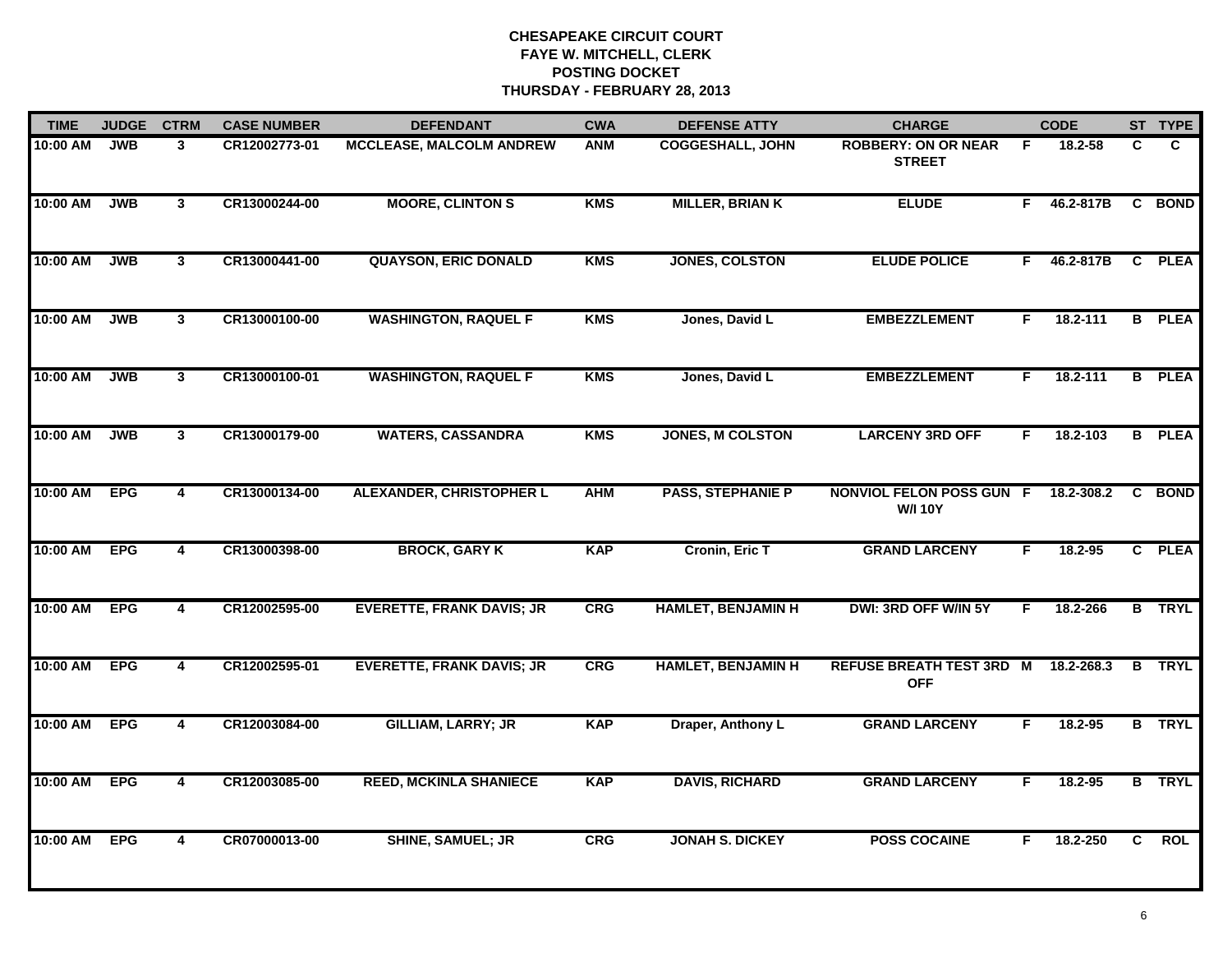| <b>TIME</b> | <b>JUDGE</b> | <b>CTRM</b>             | <b>CASE NUMBER</b> | <b>DEFENDANT</b>                 | <b>CWA</b> | <b>DEFENSE ATTY</b>       | <b>CHARGE</b>                                     |    | <b>CODE</b> |    | ST TYPE       |
|-------------|--------------|-------------------------|--------------------|----------------------------------|------------|---------------------------|---------------------------------------------------|----|-------------|----|---------------|
| 10:00 AM    | <b>JWB</b>   | 3                       | CR12002773-01      | <b>MCCLEASE, MALCOLM ANDREW</b>  | ANM        | <b>COGGESHALL, JOHN</b>   | <b>ROBBERY: ON OR NEAR</b><br><b>STREET</b>       | F. | 18.2-58     | C  | C.            |
| 10:00 AM    | <b>JWB</b>   | 3                       | CR13000244-00      | <b>MOORE, CLINTON S</b>          | <b>KMS</b> | <b>MILLER, BRIAN K</b>    | <b>ELUDE</b>                                      | F. | 46.2-817B   | C  | <b>BOND</b>   |
| 10:00 AM    | <b>JWB</b>   | 3 <sup>1</sup>          | CR13000441-00      | <b>QUAYSON, ERIC DONALD</b>      | <b>KMS</b> | <b>JONES, COLSTON</b>     | <b>ELUDE POLICE</b>                               | F  | 46.2-817B   | C. | <b>PLEA</b>   |
| 10:00 AM    | <b>JWB</b>   | $\mathbf{3}$            | CR13000100-00      | <b>WASHINGTON, RAQUEL F</b>      | <b>KMS</b> | Jones, David L            | <b>EMBEZZLEMENT</b>                               | F  | 18.2-111    | B  | <b>PLEA</b>   |
| 10:00 AM    | <b>JWB</b>   | $\mathbf{3}$            | CR13000100-01      | <b>WASHINGTON, RAQUEL F</b>      | <b>KMS</b> | Jones, David L            | <b>EMBEZZLEMENT</b>                               | F. | 18.2-111    |    | <b>B</b> PLEA |
| 10:00 AM    | <b>JWB</b>   | $\mathbf{3}$            | CR13000179-00      | <b>WATERS, CASSANDRA</b>         | <b>KMS</b> | <b>JONES, M COLSTON</b>   | <b>LARCENY 3RD OFF</b>                            | F. | 18.2-103    |    | <b>B</b> PLEA |
| 10:00 AM    | <b>EPG</b>   | $\overline{\mathbf{4}}$ | CR13000134-00      | <b>ALEXANDER, CHRISTOPHER L</b>  | <b>AHM</b> | <b>PASS, STEPHANIE P</b>  | <b>NONVIOL FELON POSS GUN F</b><br><b>W/I 10Y</b> |    | 18.2-308.2  | C  | <b>BOND</b>   |
| 10:00 AM    | <b>EPG</b>   | $\overline{4}$          | CR13000398-00      | <b>BROCK, GARY K</b>             | <b>KAP</b> | <b>Cronin, Eric T</b>     | <b>GRAND LARCENY</b>                              | F  | 18.2-95     |    | C PLEA        |
| 10:00 AM    | <b>EPG</b>   | 4                       | CR12002595-00      | <b>EVERETTE, FRANK DAVIS; JR</b> | CRG        | <b>HAMLET, BENJAMIN H</b> | DWI: 3RD OFF W/IN 5Y                              | F  | 18.2-266    |    | <b>B</b> TRYL |
| 10:00 AM    | <b>EPG</b>   | 4                       | CR12002595-01      | <b>EVERETTE, FRANK DAVIS; JR</b> | <b>CRG</b> | <b>HAMLET, BENJAMIN H</b> | <b>REFUSE BREATH TEST 3RD M</b><br><b>OFF</b>     |    | 18.2-268.3  |    | <b>B</b> TRYL |
| 10:00 AM    | <b>EPG</b>   | 4                       | CR12003084-00      | <b>GILLIAM, LARRY; JR</b>        | <b>KAP</b> | Draper, Anthony L         | <b>GRAND LARCENY</b>                              | F. | 18.2-95     |    | <b>B</b> TRYL |
| 10:00 AM    | <b>EPG</b>   | $\overline{4}$          | CR12003085-00      | <b>REED, MCKINLA SHANIECE</b>    | <b>KAP</b> | <b>DAVIS, RICHARD</b>     | <b>GRAND LARCENY</b>                              | F  | 18.2-95     |    | <b>B</b> TRYL |
| 10:00 AM    | <b>EPG</b>   | $\overline{4}$          | CR07000013-00      | <b>SHINE, SAMUEL; JR</b>         | <b>CRG</b> | <b>JONAH S. DICKEY</b>    | <b>POSS COCAINE</b>                               | F  | 18.2-250    | C. | <b>ROL</b>    |